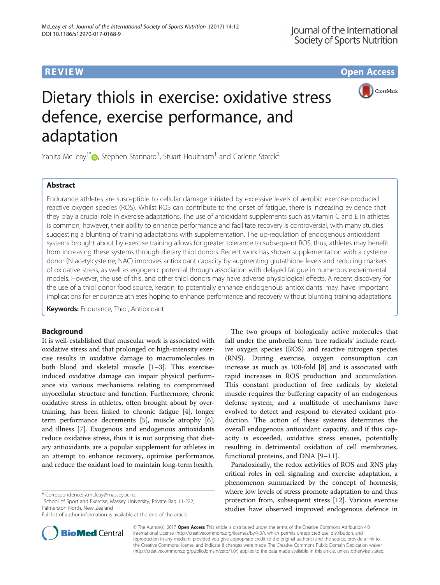**REVIEW CONSTRUCTION CONSTRUCTION CONSTRUCTS** 



# Dietary thiols in exercise: oxidative stress defence, exercise performance, and adaptation

Yanita McLeay<sup>1\*</sup> $\textcolor{blue}{\bullet}$ , Stephen Stannard<sup>1</sup>, Stuart Houltham<sup>1</sup> and Carlene Starck<sup>2</sup>

# Abstract

Endurance athletes are susceptible to cellular damage initiated by excessive levels of aerobic exercise-produced reactive oxygen species (ROS). Whilst ROS can contribute to the onset of fatigue, there is increasing evidence that they play a crucial role in exercise adaptations. The use of antioxidant supplements such as vitamin C and E in athletes is common; however, their ability to enhance performance and facilitate recovery is controversial, with many studies suggesting a blunting of training adaptations with supplementation. The up-regulation of endogenous antioxidant systems brought about by exercise training allows for greater tolerance to subsequent ROS, thus, athletes may benefit from increasing these systems through dietary thiol donors. Recent work has shown supplementation with a cysteine donor (N-acetylcysteine; NAC) improves antioxidant capacity by augmenting glutathione levels and reducing markers of oxidative stress, as well as ergogenic potential through association with delayed fatigue in numerous experimental models. However, the use of this, and other thiol donors may have adverse physiological effects. A recent discovery for the use of a thiol donor food source, keratin, to potentially enhance endogenous antioxidants may have important implications for endurance athletes hoping to enhance performance and recovery without blunting training adaptations.

**Keywords:** Endurance, Thiol, Antioxidant

# Background

It is well-established that muscular work is associated with oxidative stress and that prolonged or high-intensity exercise results in oxidative damage to macromolecules in both blood and skeletal muscle [\[1](#page-5-0)–[3\]](#page-5-0). This exerciseinduced oxidative damage can impair physical performance via various mechanisms relating to compromised myocellular structure and function. Furthermore, chronic oxidative stress in athletes, often brought about by overtraining, has been linked to chronic fatigue [\[4](#page-5-0)], longer term performance decrements [\[5](#page-5-0)], muscle atrophy [[6](#page-5-0)], and illness [[7\]](#page-5-0). Exogenous and endogenous antioxidants reduce oxidative stress, thus it is not surprising that dietary antioxidants are a popular supplement for athletes in an attempt to enhance recovery, optimise performance, and reduce the oxidant load to maintain long-term health.

<sup>1</sup>School of Sport and Exercise, Massey University, Private Bag 11-222, Palmerston North, New Zealand

Full list of author information is available at the end of the article



The two groups of biologically active molecules that fall under the umbrella term 'free radicals' include reactive oxygen species (ROS) and reactive nitrogen species (RNS). During exercise, oxygen consumption can increase as much as 100-fold [\[8](#page-5-0)] and is associated with rapid increases in ROS production and accumulation. This constant production of free radicals by skeletal muscle requires the buffering capacity of an endogenous defense system, and a multitude of mechanisms have evolved to detect and respond to elevated oxidant production. The action of these systems determines the overall endogenous antioxidant capacity, and if this capacity is exceeded, oxidative stress ensues, potentially resulting in detrimental oxidation of cell membranes, functional proteins, and DNA [\[9](#page-5-0)–[11\]](#page-5-0).

Paradoxically, the redox activities of ROS and RNS play critical roles in cell signaling and exercise adaptation, a phenomenon summarized by the concept of hormesis, where low levels of stress promote adaptation to and thus protection from, subsequent stress [[12](#page-5-0)]. Various exercise studies have observed improved endogenous defence in

© The Author(s). 2017 **Open Access** This article is distributed under the terms of the Creative Commons Attribution 4.0 International License [\(http://creativecommons.org/licenses/by/4.0/](http://creativecommons.org/licenses/by/4.0/)), which permits unrestricted use, distribution, and reproduction in any medium, provided you give appropriate credit to the original author(s) and the source, provide a link to the Creative Commons license, and indicate if changes were made. The Creative Commons Public Domain Dedication waiver [\(http://creativecommons.org/publicdomain/zero/1.0/](http://creativecommons.org/publicdomain/zero/1.0/)) applies to the data made available in this article, unless otherwise stated.

<sup>\*</sup> Correspondence: [y.mcleay@massey.ac.nz](mailto:y.mcleay@massey.ac.nz) <sup>1</sup>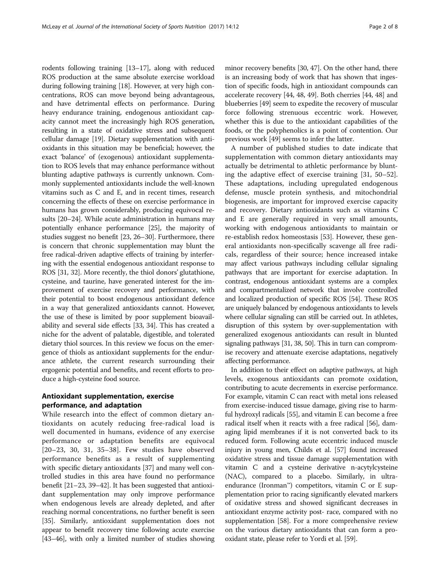rodents following training [[13](#page-5-0)–[17\]](#page-5-0), along with reduced ROS production at the same absolute exercise workload during following training [\[18](#page-5-0)]. However, at very high concentrations, ROS can move beyond being advantageous, and have detrimental effects on performance. During heavy endurance training, endogenous antioxidant capacity cannot meet the increasingly high ROS generation, resulting in a state of oxidative stress and subsequent cellular damage [[19](#page-5-0)]. Dietary supplementation with antioxidants in this situation may be beneficial; however, the exact 'balance' of (exogenous) antioxidant supplementation to ROS levels that may enhance performance without blunting adaptive pathways is currently unknown. Commonly supplemented antioxidants include the well-known vitamins such as C and E, and in recent times, research concerning the effects of these on exercise performance in humans has grown considerably, producing equivocal results [\[20](#page-5-0)–[24](#page-5-0)]. While acute administration in humans may potentially enhance performance [[25](#page-5-0)], the majority of studies suggest no benefit [\[23, 26](#page-5-0)–[30\]](#page-5-0). Furthermore, there is concern that chronic supplementation may blunt the free radical-driven adaptive effects of training by interfering with the essential endogenous antioxidant response to ROS [\[31, 32](#page-5-0)]. More recently, the thiol donors' glutathione, cysteine, and taurine, have generated interest for the improvement of exercise recovery and performance, with their potential to boost endogenous antioxidant defence in a way that generalized antioxidants cannot. However, the use of these is limited by poor supplement bioavailability and several side effects [\[33, 34\]](#page-5-0). This has created a niche for the advent of palatable, digestible, and tolerated dietary thiol sources. In this review we focus on the emergence of thiols as antioxidant supplements for the endurance athlete, the current research surrounding their ergogenic potential and benefits, and recent efforts to produce a high-cysteine food source.

# Antioxidant supplementation, exercise performance, and adaptation

While research into the effect of common dietary antioxidants on acutely reducing free-radical load is well documented in humans, evidence of any exercise performance or adaptation benefits are equivocal [[20](#page-5-0)–[23](#page-5-0), [30, 31](#page-5-0), [35](#page-5-0)–[38\]](#page-5-0). Few studies have observed performance benefits as a result of supplementing with specific dietary antioxidants [\[37\]](#page-5-0) and many well controlled studies in this area have found no performance benefit [[21](#page-5-0)–[23, 39](#page-5-0)–[42\]](#page-5-0). It has been suggested that antioxidant supplementation may only improve performance when endogenous levels are already depleted, and after reaching normal concentrations, no further benefit is seen [[35](#page-5-0)]. Similarly, antioxidant supplementation does not appear to benefit recovery time following acute exercise [[43](#page-5-0)–[46\]](#page-5-0), with only a limited number of studies showing

minor recovery benefits [[30](#page-5-0), [47\]](#page-5-0). On the other hand, there is an increasing body of work that has shown that ingestion of specific foods, high in antioxidant compounds can accelerate recovery [[44, 48](#page-5-0), [49\]](#page-5-0). Both cherries [\[44](#page-5-0), [48\]](#page-5-0) and blueberries [\[49](#page-5-0)] seem to expedite the recovery of muscular force following strenuous eccentric work. However, whether this is due to the antioxidant capabilities of the foods, or the polyphenolics is a point of contention. Our previous work [\[49\]](#page-5-0) seems to infer the latter.

A number of published studies to date indicate that supplementation with common dietary antioxidants may actually be detrimental to athletic performance by blunting the adaptive effect of exercise training [\[31](#page-5-0), [50](#page-5-0)–[52](#page-5-0)]. These adaptations, including upregulated endogenous defense, muscle protein synthesis, and mitochondrial biogenesis, are important for improved exercise capacity and recovery. Dietary antioxidants such as vitamins C and E are generally required in very small amounts, working with endogenous antioxidants to maintain or re-establish redox homeostasis [[53\]](#page-6-0). However, these general antioxidants non-specifically scavenge all free radicals, regardless of their source; hence increased intake may affect various pathways including cellular signaling pathways that are important for exercise adaptation. In contrast, endogenous antioxidant systems are a complex and compartmentalized network that involve controlled and localized production of specific ROS [\[54\]](#page-6-0). These ROS are uniquely balanced by endogenous antioxidants to levels where cellular signaling can still be carried out. In athletes, disruption of this system by over-supplementation with generalized exogenous antioxidants can result in blunted signaling pathways [\[31, 38, 50\]](#page-5-0). This in turn can compromise recovery and attenuate exercise adaptations, negatively affecting performance.

In addition to their effect on adaptive pathways, at high levels, exogenous antioxidants can promote oxidation, contributing to acute decrements in exercise performance. For example, vitamin C can react with metal ions released from exercise-induced tissue damage, giving rise to harmful hydroxyl radicals [\[55\]](#page-6-0), and vitamin E can become a free radical itself when it reacts with a free radical [\[56\]](#page-6-0), damaging lipid membranes if it is not converted back to its reduced form. Following acute eccentric induced muscle injury in young men, Childs et al. [[57\]](#page-6-0) found increased oxidative stress and tissue damage supplementation with vitamin C and a cysteine derivative n-acytylcysteine (NAC), compared to a placebo. Similarly, in ultraendurance (Ironman™) competitors, vitamin C or E supplementation prior to racing significantly elevated markers of oxidative stress and showed significant decreases in antioxidant enzyme activity post- race, compared with no supplementation [[58](#page-6-0)]. For a more comprehensive review on the various dietary antioxidants that can form a prooxidant state, please refer to Yordi et al. [\[59\]](#page-6-0).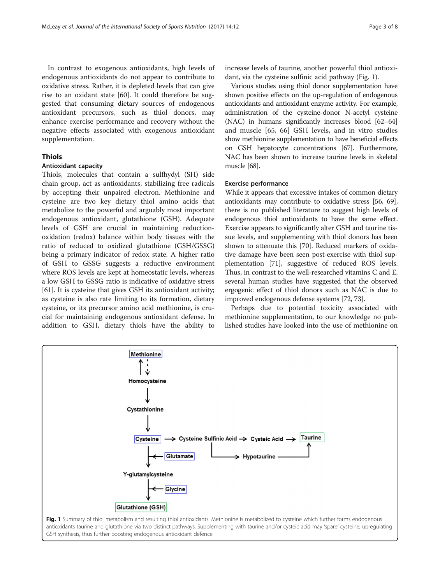In contrast to exogenous antioxidants, high levels of endogenous antioxidants do not appear to contribute to oxidative stress. Rather, it is depleted levels that can give rise to an oxidant state [\[60](#page-6-0)]. It could therefore be suggested that consuming dietary sources of endogenous antioxidant precursors, such as thiol donors, may enhance exercise performance and recovery without the negative effects associated with exogenous antioxidant supplementation.

# Thiols

# Antioxidant capacity

Thiols, molecules that contain a sulfhydyl (SH) side chain group, act as antioxidants, stabilizing free radicals by accepting their unpaired electron. Methionine and cysteine are two key dietary thiol amino acids that metabolize to the powerful and arguably most important endogenous antioxidant, glutathione (GSH). Adequate levels of GSH are crucial in maintaining reductionoxidation (redox) balance within body tissues with the ratio of reduced to oxidized glutathione (GSH/GSSG) being a primary indicator of redox state. A higher ratio of GSH to GSSG suggests a reductive environment where ROS levels are kept at homeostatic levels, whereas a low GSH to GSSG ratio is indicative of oxidative stress [[61\]](#page-6-0). It is cysteine that gives GSH its antioxidant activity; as cysteine is also rate limiting to its formation, dietary cysteine, or its precursor amino acid methionine, is crucial for maintaining endogenous antioxidant defense. In addition to GSH, dietary thiols have the ability to increase levels of taurine, another powerful thiol antioxidant, via the cysteine sulfinic acid pathway (Fig. 1).

Various studies using thiol donor supplementation have shown positive effects on the up-regulation of endogenous antioxidants and antioxidant enzyme activity. For example, administration of the cysteine-donor N-acetyl cysteine (NAC) in humans significantly increases blood [[62](#page-6-0)–[64](#page-6-0)] and muscle [[65](#page-6-0), [66](#page-6-0)] GSH levels, and in vitro studies show methionine supplementation to have beneficial effects on GSH hepatocyte concentrations [\[67\]](#page-6-0). Furthermore, NAC has been shown to increase taurine levels in skeletal muscle [\[68](#page-6-0)].

### Exercise performance

While it appears that excessive intakes of common dietary antioxidants may contribute to oxidative stress [[56](#page-6-0), [69](#page-6-0)], there is no published literature to suggest high levels of endogenous thiol antioxidants to have the same effect. Exercise appears to significantly alter GSH and taurine tissue levels, and supplementing with thiol donors has been shown to attenuate this [[70](#page-6-0)]. Reduced markers of oxidative damage have been seen post-exercise with thiol supplementation [\[71](#page-6-0)], suggestive of reduced ROS levels. Thus, in contrast to the well-researched vitamins C and E, several human studies have suggested that the observed ergogenic effect of thiol donors such as NAC is due to improved endogenous defense systems [\[72, 73](#page-6-0)].

Perhaps due to potential toxicity associated with methionine supplementation, to our knowledge no published studies have looked into the use of methionine on

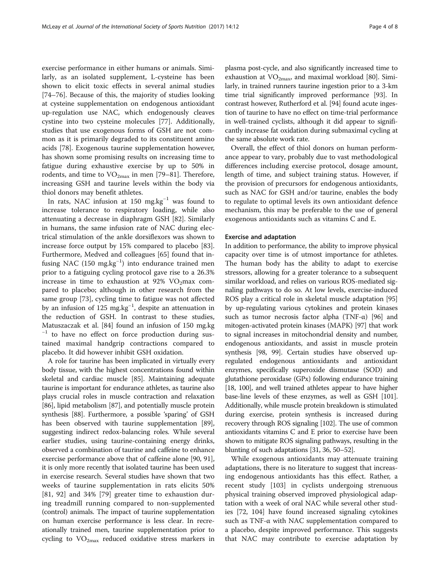exercise performance in either humans or animals. Similarly, as an isolated supplement, L-cysteine has been shown to elicit toxic effects in several animal studies [[74](#page-6-0)–[76](#page-6-0)]. Because of this, the majority of studies looking at cysteine supplementation on endogenous antioxidant up-regulation use NAC, which endogenously cleaves cystine into two cysteine molecules [\[77\]](#page-6-0). Additionally, studies that use exogenous forms of GSH are not common as it is primarily degraded to its constituent amino acids [[78\]](#page-6-0). Exogenous taurine supplementation however, has shown some promising results on increasing time to fatigue during exhaustive exercise by up to 50% in rodents, and time to  $VO_{2max}$  in men [\[79](#page-6-0)–[81\]](#page-6-0). Therefore, increasing GSH and taurine levels within the body via thiol donors may benefit athletes.

In rats, NAC infusion at 150 mg.kg−<sup>1</sup> was found to increase tolerance to respiratory loading, while also attenuating a decrease in diaphragm GSH [\[82](#page-6-0)]. Similarly in humans, the same infusion rate of NAC during electrical stimulation of the ankle dorsiflexors was shown to increase force output by 15% compared to placebo [\[83](#page-6-0)]. Furthermore, Medved and colleagues [\[65](#page-6-0)] found that infusing NAC (150 mg.kg<sup>-1</sup>) into endurance trained men prior to a fatiguing cycling protocol gave rise to a 26.3% increase in time to exhaustion at 92%  $VO<sub>2</sub>$ max compared to placebo; although in other research from the same group [[73\]](#page-6-0), cycling time to fatigue was not affected by an infusion of 125 mg.kg−<sup>1</sup> , despite an attenuation in the reduction of GSH. In contrast to these studies, Matuszaczak et al. [[84](#page-6-0)] found an infusion of 150 mg.kg <sup>−</sup><sup>1</sup> to have no effect on force production during sustained maximal handgrip contractions compared to placebo. It did however inhibit GSH oxidation.

A role for taurine has been implicated in virtually every body tissue, with the highest concentrations found within skeletal and cardiac muscle [[85\]](#page-6-0). Maintaining adequate taurine is important for endurance athletes, as taurine also plays crucial roles in muscle contraction and relaxation [[86](#page-6-0)], lipid metabolism [\[87](#page-6-0)], and potentially muscle protein synthesis [\[88\]](#page-6-0). Furthermore, a possible 'sparing' of GSH has been observed with taurine supplementation [[89](#page-6-0)], suggesting indirect redox-balancing roles. While several earlier studies, using taurine-containing energy drinks, observed a combination of taurine and caffeine to enhance exercise performance above that of caffeine alone [\[90, 91](#page-6-0)], it is only more recently that isolated taurine has been used in exercise research. Several studies have shown that two weeks of taurine supplementation in rats elicits 50% [[81, 92](#page-6-0)] and 34% [\[79](#page-6-0)] greater time to exhaustion during treadmill running compared to non-supplemented (control) animals. The impact of taurine supplementation on human exercise performance is less clear. In recreationally trained men, taurine supplementation prior to cycling to  $VO<sub>2max</sub>$  reduced oxidative stress markers in plasma post-cycle, and also significantly increased time to exhaustion at  $VO<sub>2max</sub>$  and maximal workload [[80](#page-6-0)]. Similarly, in trained runners taurine ingestion prior to a 3-km time trial significantly improved performance [\[93\]](#page-6-0). In contrast however, Rutherford et al. [\[94\]](#page-6-0) found acute ingestion of taurine to have no effect on time-trial performance in well-trained cyclists, although it did appear to significantly increase fat oxidation during submaximal cycling at the same absolute work rate.

Overall, the effect of thiol donors on human performance appear to vary, probably due to vast methodological differences including exercise protocol, dosage amount, length of time, and subject training status. However, if the provision of precursors for endogenous antioxidants, such as NAC for GSH and/or taurine, enables the body to regulate to optimal levels its own antioxidant defence mechanism, this may be preferable to the use of general exogenous antioxidants such as vitamins C and E.

#### Exercise and adaptation

In addition to performance, the ability to improve physical capacity over time is of utmost importance for athletes. The human body has the ability to adapt to exercise stressors, allowing for a greater tolerance to a subsequent similar workload, and relies on various ROS-mediated signaling pathways to do so. At low levels, exercise-induced ROS play a critical role in skeletal muscle adaptation [[95](#page-6-0)] by up-regulating various cytokines and protein kinases such as tumor necrosis factor alpha (TNF- $\alpha$ ) [\[96\]](#page-6-0) and mitogen-activated protein kinases (MAPK) [[97](#page-6-0)] that work to signal increases in mitochondrial density and number, endogenous antioxidants, and assist in muscle protein synthesis [[98](#page-6-0), [99](#page-6-0)]. Certain studies have observed upregulated endogenous antioxidants and antioxidant enzymes, specifically superoxide dismutase (SOD) and glutathione peroxidase (GPx) following endurance training [[18](#page-5-0), [100](#page-6-0)], and well trained athletes appear to have higher base-line levels of these enzymes, as well as GSH [\[101](#page-6-0)]. Additionally, while muscle protein breakdown is stimulated during exercise, protein synthesis is increased during recovery through ROS signaling [\[102\]](#page-6-0). The use of common antioxidants vitamins C and E prior to exercise have been shown to mitigate ROS signaling pathways, resulting in the blunting of such adaptations [\[31, 36](#page-5-0), [50](#page-5-0)–[52\]](#page-5-0).

While exogenous antioxidants may attenuate training adaptations, there is no literature to suggest that increasing endogenous antioxidants has this effect. Rather, a recent study [\[103\]](#page-6-0) in cyclists undergoing strenuous physical training observed improved physiological adaptation with a week of oral NAC while several other studies [[72](#page-6-0), [104](#page-6-0)] have found increased signaling cytokines such as TNF-α with NAC supplementation compared to a placebo, despite improved performance. This suggests that NAC may contribute to exercise adaptation by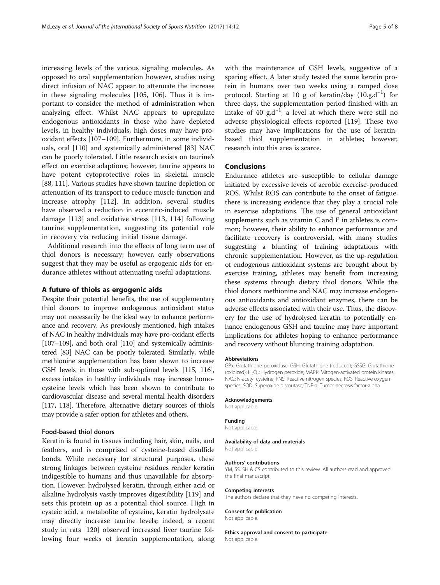increasing levels of the various signaling molecules. As opposed to oral supplementation however, studies using direct infusion of NAC appear to attenuate the increase in these signaling molecules [[105, 106\]](#page-6-0). Thus it is important to consider the method of administration when analyzing effect. Whilst NAC appears to upregulate endogenous antioxidants in those who have depleted levels, in healthy individuals, high doses may have prooxidant effects [[107](#page-6-0)–[109\]](#page-7-0). Furthermore, in some individuals, oral [\[110\]](#page-7-0) and systemically administered [\[83\]](#page-6-0) NAC can be poorly tolerated. Little research exists on taurine's effect on exercise adaptions; however, taurine appears to have potent cytoprotective roles in skeletal muscle [[88](#page-6-0), [111\]](#page-7-0). Various studies have shown taurine depletion or attenuation of its transport to reduce muscle function and increase atrophy [[112\]](#page-7-0). In addition, several studies have observed a reduction in eccentric-induced muscle damage [[113\]](#page-7-0) and oxidative stress [[113, 114\]](#page-7-0) following taurine supplementation, suggesting its potential role in recovery via reducing initial tissue damage.

Additional research into the effects of long term use of thiol donors is necessary; however, early observations suggest that they may be useful as ergogenic aids for endurance athletes without attenuating useful adaptations.

#### A future of thiols as ergogenic aids

Despite their potential benefits, the use of supplementary thiol donors to improve endogenous antioxidant status may not necessarily be the ideal way to enhance performance and recovery. As previously mentioned, high intakes of NAC in healthy individuals may have pro-oxidant effects [[107](#page-6-0)–[109](#page-7-0)], and both oral [\[110\]](#page-7-0) and systemically administered [\[83\]](#page-6-0) NAC can be poorly tolerated. Similarly, while methionine supplementation has been shown to increase GSH levels in those with sub-optimal levels [[115](#page-7-0), [116](#page-7-0)], excess intakes in healthy individuals may increase homocysteine levels which has been shown to contribute to cardiovascular disease and several mental health disorders [[117, 118](#page-7-0)]. Therefore, alternative dietary sources of thiols may provide a safer option for athletes and others.

#### Food-based thiol donors

Keratin is found in tissues including hair, skin, nails, and feathers, and is comprised of cysteine-based disulfide bonds. While necessary for structural purposes, these strong linkages between cysteine residues render keratin indigestible to humans and thus unavailable for absorption. However, hydrolysed keratin, through either acid or alkaline hydrolysis vastly improves digestibility [\[119](#page-7-0)] and sets this protein up as a potential thiol source. High in cysteic acid, a metabolite of cysteine, keratin hydrolysate may directly increase taurine levels; indeed, a recent study in rats [[120\]](#page-7-0) observed increased liver taurine following four weeks of keratin supplementation, along with the maintenance of GSH levels, suggestive of a sparing effect. A later study tested the same keratin protein in humans over two weeks using a ramped dose protocol. Starting at 10 g of keratin/day (10.g.d<sup>-1</sup>) for three days, the supplementation period finished with an intake of 40  $g.d^{-1}$ ; a level at which there were still no adverse physiological effects reported [[119\]](#page-7-0). These two studies may have implications for the use of keratinbased thiol supplementation in athletes; however, research into this area is scarce.

## Conclusions

Endurance athletes are susceptible to cellular damage initiated by excessive levels of aerobic exercise-produced ROS. Whilst ROS can contribute to the onset of fatigue, there is increasing evidence that they play a crucial role in exercise adaptations. The use of general antioxidant supplements such as vitamin C and E in athletes is common; however, their ability to enhance performance and facilitate recovery is controversial, with many studies suggesting a blunting of training adaptations with chronic supplementation. However, as the up-regulation of endogenous antioxidant systems are brought about by exercise training, athletes may benefit from increasing these systems through dietary thiol donors. While the thiol donors methionine and NAC may increase endogenous antioxidants and antioxidant enzymes, there can be adverse effects associated with their use. Thus, the discovery for the use of hydrolysed keratin to potentially enhance endogenous GSH and taurine may have important implications for athletes hoping to enhance performance and recovery without blunting training adaptation.

#### Abbreviations

GPx: Glutathione peroxidase; GSH: Glutathione (reduced); GSSG: Glutathione (oxidized); H<sub>2</sub>O<sub>2</sub>: Hydrogen peroxide; MAPK: Mitogen-activated protein kinases; NAC: N-acetyl cysteine; RNS: Reactive nitrogen species; ROS: Reactive oxygen species; SOD: Superoxide dismutase; TNF-α: Tumor necrosis factor-alpha

#### Acknowledgements

Not applicable.

#### Funding

Not applicable.

Availability of data and materials Not applicable

#### Authors' contributions

YM, SS, SH & CS contributed to this review. All authors read and approved the final manuscript.

#### Competing interests

The authors declare that they have no competing interests.

#### Consent for publication

Not applicable.

Ethics approval and consent to participate

Not applicable.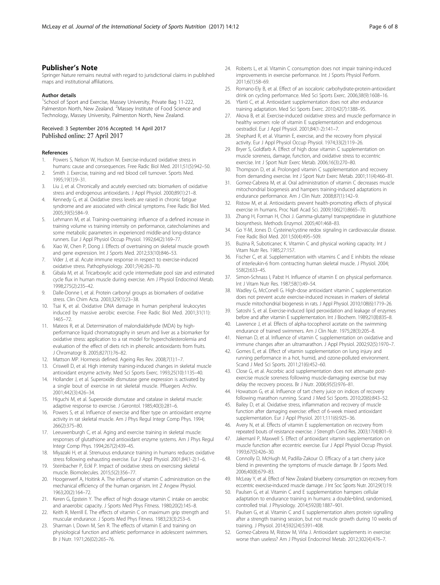# <span id="page-5-0"></span>Publisher's Note

Springer Nature remains neutral with regard to jurisdictional claims in published maps and institutional affiliations.

#### Author details

<sup>1</sup>School of Sport and Exercise, Massey University, Private Bag 11-222, Palmerston North, New Zealand. <sup>2</sup>Massey Institute of Food Science and Technology, Massey University, Palmerston North, New Zealand.

#### Received: 3 September 2016 Accepted: 14 April 2017 Published online: 27 April 2017

#### References

- Powers S, Nelson W, Hudson M. Exercise-induced oxidative stress in humans: cause and consequences. Free Radic Biol Med. 2011;51(5):942–50.
- 2. Smith J. Exercise, training and red blood cell turnover. Sports Med. 1995;19(1):9–31.
- 3. Liu J, et al. Chronically and acutely exercised rats: biomarkers of oxidative stress and endogenous antioxidants. J Appl Physiol. 2000;89(1):21–8.
- 4. Kennedy G, et al. Oxidative stress levels are raised in chronic fatigue syndrome and are associated with clinical symptoms. Free Radic Biol Med. 2005;39(5):584–9.
- 5. Lehmann M, et al. Training-overtraining: influence of a defined increase in training volume vs training intensity on performance, catecholamines and some metabolic parameters in experienced middle-and long-distance runners. Eur J Appl Physiol Occup Physiol. 1992;64(2):169–77.
- 6. Xiao W, Chen P, Dong J. Effects of overtraining on skeletal muscle growth and gene expression. Int J Sports Med. 2012;33(10):846–53.
- 7. Vider J, et al. Acute immune response in respect to exercise-induced oxidative stress. Pathophysiology. 2001;7(4):263–70.
- 8. Gibala M, et al. Tricarboxylic acid cycle intermediate pool size and estimated cycle flux in human muscle during exercise. Am J Physiol Endocrinol Metab. 1998;275(2):235–42.
- Dalle-Donne I, et al. Protein carbonyl groups as biomarkers of oxidative stress. Clin Chim Acta. 2003;329(1):23–38.
- 10. Tsai K, et al. Oxidative DNA damage in human peripheral leukocytes induced by massive aerobic exercise. Free Radic Biol Med. 2001;31(11): 1465–72.
- 11. Mateos R, et al. Determination of malondialdehyde (MDA) by highperformance liquid chromatography in serum and liver as a biomarker for oxidative stress: application to a rat model for hypercholesterolemia and evaluation of the effect of diets rich in phenolic antioxidants from fruits. J Chromatogr B. 2005;827(1):76–82.
- 12. Mattson MP. Hormesis defined. Ageing Res Rev. 2008;7(1):1–7.
- 13. Criswell D, et al. High intensity training-induced changes in skeletal muscle antioxidant enzyme activity. Med Sci Sports Exerc. 1993;25(10):1135–40.
- 14. Hollander J, et al. Superoxide dismutase gene expression is activated by a single bout of exercise in rat skeletal muscle. Pfluegers Archiv. 2001;442(3):426–34.
- 15. Higuchi M, et al. Superoxide dismutase and catalase in skeletal muscle: adaptive response to exercise. J Gerontol. 1985;40(3):281–6.
- 16. Powers S, et al. Influence of exercise and fiber type on antioxidant enzyme activity in rat skeletal muscle. Am J Phys Regul Integr Comp Phys. 1994; 266(2):375–80.
- 17. Leeuwenburgh C, et al. Aging and exercise training in skeletal muscle: responses of glutathione and antioxidant enzyme systems. Am J Phys Regul Integr Comp Phys. 1994;267(2):439–45.
- 18. Miyazaki H, et al. Strenuous endurance training in humans reduces oxidative stress following exhausting exercise. Eur J Appl Physiol. 2001;84(1-2):1–6.
- 19. Steinbacher P, Eckl P. Impact of oxidative stress on exercising skeletal muscle. Biomolecules. 2015;5(2):356–77.
- 20. Hoogerwerf A, Hoitink A. The influence of vitamin C administration on the mechanical efficiency of the human organism. Int Z Angew Physiol. 1963;20(2):164–72.
- 21. Keren G, Epstein Y. The effect of high dosage vitamin C intake on aerobic and anaerobic capacity. J Sports Med Phys Fitness. 1980;20(2):145–8.
- 22. Keith R, Merrill E. The effects of vitamin C on maximum grip strength and muscular endurance. J Sports Med Phys Fitness. 1983;23(3):253–6.
- 23. Sharman I, Down M, Sen R. The effects of vitamin E and training on physiological function and athletic performance in adolescent swimmers. Br J Nutr. 1971;26(02):265–76.
- 24. Roberts L, et al. Vitamin C consumption does not impair training-induced improvements in exercise performance. Int J Sports Physiol Perform. 2011;6(1):58–69.
- 25. Romano-Ely B, et al. Effect of an isocaloric carbohydrate-protein-antioxidant drink on cycling performance. Med Sci Sports Exerc. 2006;38(9):1608–16.
- 26. Yfanti C, et al. Antioxidant supplementation does not alter endurance training adaptation. Med Sci Sports Exerc. 2010;42(7):1388–95.
- 27. Akova B, et al. Exercise-induced oxidative stress and muscle performance in healthy women: role of vitamin E supplementation and endogenous oestradiol. Eur J Appl Physiol. 2001;84(1-2):141–7.
- 28. Shephard R, et al. Vitamin E, exercise, and the recovery from physical activity. Eur J Appl Physiol Occup Physiol. 1974;33(2):119–26.
- 29. Bryer S, Goldfarb A. Effect of high dose vitamin C supplementation on muscle soreness, damage, function, and oxidative stress to eccentric exercise. Int J Sport Nutr Exerc Metab. 2006;16(3):270–80.
- 30. Thompson D, et al. Prolonged vitamin C supplementation and recovery from demanding exercise. Int J Sport Nutr Exerc Metab. 2001;11(4):466–81.
- 31. Gomez-Cabrera M, et al. Oral administration of vitamin C decreases muscle mitochondrial biogenesis and hampers training-induced adaptations in endurance performance. Am J Clin Nutr. 2008;87(1):142–9.
- 32. Ristow M, et al. Antioxidants prevent health-promoting effects of physical exercise in humans. Proc Natl Acad Sci. 2009;106(21):8665–70.
- 33. Zhang H, Forman H, Choi J. Gamma-glutamyl transpeptidase in glutathione biosynthesis. Methods Enzymol. 2005;401:468–83.
- 34. Go Y-M, Jones D. Cysteine/cystine redox signaling in cardiovascular disease. Free Radic Biol Med. 2011;50(4):495–509.
- 35. Buzina R, Suboticanec K. Vitamin C and physical working capacity. Int J Vitam Nutr Res. 1985;27:157.
- 36. Fischer C, et al. Supplementation with vitamins C and E inhibits the release of interleukin-6 from contracting human skeletal muscle. J Physiol. 2004; 558(2):633–45.
- 37. Simon-Schnass I, Pabst H. Influence of vitamin E on physical performance. Int J Vitam Nutr Res. 1987;58(1):49–54.
- 38. Wadley G, McConell G. High-dose antioxidant vitamin C supplementation does not prevent acute exercise-induced increases in markers of skeletal muscle mitochondrial biogenesis in rats. J Appl Physiol. 2010;108(6):1719–26.
- 39. Satoshi S, et al. Exercise-induced lipid peroxidation and leakage of enzymes before and after vitamin E supplementation. Int J Biochem. 1989;21(8):835–8.
- 40. Lawrence J, et al. Effects of alpha-tocopherol acetate on the swimming endurance of trained swimmers. Am J Clin Nutr. 1975;28(3):205–8.
- 41. Nieman D, et al. Influence of vitamin C supplementation on oxidative and immune changes after an ultramarathon. J Appl Physiol. 2002;92(5):1970–7.
- 42. Gomes E, et al. Effect of vitamin supplementation on lung injury and running performance in a hot, humid, and ozone-polluted environment. Scand J Med Sci Sports. 2011;21(6):452–60.
- 43. Close G, et al. Ascorbic acid supplementation does not attenuate postexercise muscle soreness following muscle-damaging exercise but may delay the recovery process. Br J Nutr. 2006;95(5):976–81.
- 44. Howatson G, et al. Influence of tart cherry juice on indices of recovery following marathon running. Scand J Med Sci Sports. 2010;20(6):843–52.
- 45. Bailey D, et al. Oxidative stress, inflammation and recovery of muscle function after damaging exercise: effect of 6-week mixed antioxidant supplementation. Eur J Appl Physiol. 2011;111(6):925–36.
- 46. Avery N, et al. Effects of vitamin E supplementation on recovery from repeated bouts of resistance exercise. J Strength Cond Res. 2003;17(4):801–9.
- 47. Jakemanl P, Maxwell S. Effect of antioxidant vitamin supplementation on muscle function after eccentric exercise. Eur J Appl Physiol Occup Physiol. 1993;67(5):426–30.
- 48. Connolly D, McHugh M, Padilla-Zakour O. Efficacy of a tart cherry juice blend in preventing the symptoms of muscle damage. Br J Sports Med. 2006;40(8):679–83.
- 49. McLeay Y, et al. Effect of New Zealand blueberry consumption on recovery from eccentric exercise-induced muscle damage. J Int Soc Sports Nutr. 2012;9(1):19.
- 50. Paulsen G, et al. Vitamin C and E supplementation hampers cellular adaptation to endurance training in humans: a double‐blind, randomised, controlled trial. J Physiology. 2014;592(8):1887–901.
- 51. Paulsen G, et al. Vitamin C and E supplementation alters protein signalling after a strength training session, but not muscle growth during 10 weeks of training. J Physiol. 2014;592(24):5391–408.
- 52. Gomez-Cabrera M, Ristow M, Viña J. Antioxidant supplements in exercise: worse than useless? Am J Physiol Endocrinol Metab. 2012;302(4):476–7.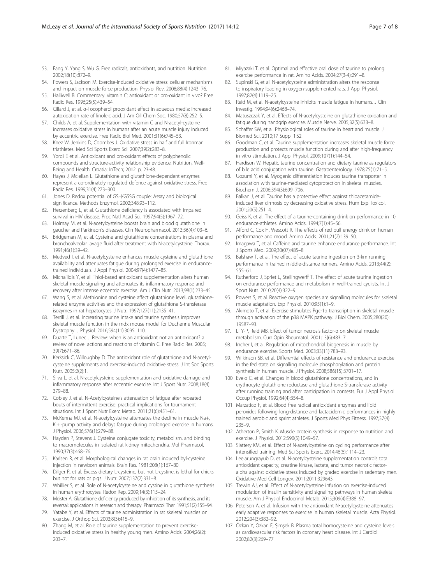- <span id="page-6-0"></span>53. Fang Y, Yang S, Wu G. Free radicals, antioxidants, and nutrition. Nutrition. 2002;18(10):872–9.
- 54. Powers S, Jackson M. Exercise-induced oxidative stress: cellular mechanisms and impact on muscle force production. Physiol Rev. 2008;88(4):1243–76.
- 55. Halliwell B. Commentary: vitamin C: antioxidant or pro-oxidant in vivo? Free Radic Res. 1996;25(5):439–54.
- 56. Cillard J, et al. α-Tocopherol prooxidant effect in aqueous media: increased autoxidation rate of linoleic acid. J Am Oil Chem Soc. 1980;57(8):252–5.
- 57. Childs A, et al. Supplementation with vitamin C and N-acetyl-cysteine increases oxidative stress in humans after an acute muscle injury induced by eccentric exercise. Free Radic Biol Med. 2001;31(6):745–53.
- 58. Knez W, Jenkins D, Coombes J. Oxidative stress in half and full Ironman triathletes. Med Sci Sports Exerc Sci. 2007;39(2):283–8.
- 59. Yordi E et al. Antioxidant and pro-oxidant effects of polyphenolic compounds and structure-activity relationship evidence. Nutrition, Well-Being and Health. Croatia: InTech; 2012: p. 23-48.
- 60. Hayes J, Mclellan L. Glutathione and glutathione-dependent enzymes represent a co-ordinately regulated defence against oxidative stress. Free Radic Res. 1999;31(4):273–300.
- 61. Jones D. Redox potential of GSH/GSSG couple: Assay and biological significance. Methods Enzymol. 2002;348:93–112.
- 62. Herzenberg L, et al. Glutathione deficiency is associated with impaired survival in HIV disease. Proc Natl Acad Sci. 1997;94(5):1967–72.
- 63. Holmay M, et al. N-acetylcysteine boosts brain and blood glutathione in gaucher and Parkinson's diseases. Clin Neuropharmacol. 2013;36(4):103–6.
- 64. Bridgeman M, et al. Cysteine and glutathione concentrations in plasma and bronchoalveolar lavage fluid after treatment with N-acetylcysteine. Thorax. 1991;46(1):39–42.
- 65. Medved I, et al. N-acetylcysteine enhances muscle cysteine and glutathione availability and attenuates fatigue during prolonged exercise in endurancetrained individuals. J Appl Physiol. 2004;97(4):1477–85.
- 66. Michailidis Y, et al. Thiol-based antioxidant supplementation alters human skeletal muscle signaling and attenuates its inflammatory response and recovery after intense eccentric exercise. Am J Clin Nutr. 2013;98(1):233–45.
- 67. Wang S, et al. Methionine and cysteine affect glutathione level, glutathionerelated enzyme activities and the expression of glutathione S-transferase isozymes in rat hepatocytes. J Nutr. 1997;127(11):2135–41.
- 68. Terrill J, et al. Increasing taurine intake and taurine synthesis improves skeletal muscle function in the mdx mouse model for Duchenne Muscular Dystrophy. J Physiol. 2016;594(11):3095–110.
- 69. Duarte T, Lunec J. Review: when is an antioxidant not an antioxidant? a review of novel actions and reactions of vitamin C. Free Radic Res. 2005; 39(7):671–86.
- 70. Kerksick C, Willoughby D. The antioxidant role of glutathione and N-acetylcysteine supplements and exercise-induced oxidative stress. J Int Soc Sports Nutr. 2005;2(2):1.
- 71. Silva L, et al. N-acetylcysteine supplementation and oxidative damage and inflammatory response after eccentric exercise. Int J Sport Nutr. 2008;18(4): 379–88.
- 72. Cobley J, et al. N-Acetylcysteine's attenuation of fatigue after repeated bouts of intermittent exercise: practical implications for tournament situations. Int J Sport Nutr Exerc Metab. 2011;21(6):451–61.
- 73. McKenna MJ, et al. N-acetylcysteine attenuates the decline in muscle Na+, K + -pump activity and delays fatigue during prolonged exercise in humans. J Physiol. 2006;576(1):279–88.
- 74. Hayden P, Stevens J. Cysteine conjugate toxicity, metabolism, and binding to macromolecules in isolated rat kidney mitochondria. Mol Pharmacol. 1990;37(3):468–76.
- 75. Karlsen R, et al. Morphological changes in rat brain induced byl-cysteine injection in newborn animals. Brain Res. 1981;208(1):167–80.
- 76. Dilger R, et al. Excess dietary L-cysteine, but not L-cystine, is lethal for chicks but not for rats or pigs. J Nutr. 2007;137(2):331–8.
- 77. Whillier S, et al. Role of N-acetylcysteine and cystine in glutathione synthesis in human erythrocytes. Redox Rep. 2009;14(3):115–24.
- 78. Meister A. Glutathione deficiency produced by inhibition of its synthesis, and its reversal; applications in research and therapy. Pharmacol Ther. 1991;51(2):155–94.
- 79. Yatabe Y, et al. Effects of taurine administration in rat skeletal muscles on exercise. J Orthop Sci. 2003;8(3):415–9.
- 80. Zhang M, et al. Role of taurine supplementation to prevent exerciseinduced oxidative stress in healthy young men. Amino Acids. 2004;26(2): 203–7.
- 81. Miyazaki T, et al. Optimal and effective oral dose of taurine to prolong exercise performance in rat. Amino Acids. 2004;27(3-4):291–8.
- 82. Supinski G, et al. N-acetylcysteine administration alters the response to inspiratory loading in oxygen-supplemented rats. J Appl Physiol. 1997;82(4):1119–25.
- 83. Reid M, et al. N-acetylcysteine inhibits muscle fatigue in humans. J Clin Investig. 1994;94(6):2468–74.
- 84. Matuszczak Y, et al. Effects of N-acetylcysteine on glutathione oxidation and fatigue during handgrip exercise. Muscle Nerve. 2005;32(5):633–8.
- 85. Schaffer SW, et al. Physiological roles of taurine in heart and muscle. J Biomed Sci. 2010;17 Suppl 1:S2.
- 86. Goodman C, et al. Taurine supplementation increases skeletal muscle force production and protects muscle function during and after high-frequency in vitro stimulation. J Appl Physiol. 2009;107(1):144–54.
- 87. Hardison W. Hepatic taurine concentration and dietary taurine as regulators of bile acid conjugation with taurine. Gastroenterology. 1978;75(1):71–5.
- 88. Uozumi Y, et al. Myogenic differentiation induces taurine transporter in association with taurine-mediated cytoprotection in skeletal muscles. Biochem J. 2006;394(3):699–706.
- 89. Balkan J, et al. Taurine has a protective effect against thioacetamideinduced liver cirrhosis by decreasing oxidative stress. Hum Exp Toxicol. 2001;20(5):251–4.
- 90. Geiss K, et al. The effect of a taurine-containing drink on performance in 10 endurance-athletes. Amino Acids. 1994;7(1):45–56.
- 91. Alford C, Cox H, Wescott R. The effects of red bull energy drink on human performance and mood. Amino Acids. 2001;21(2):139–50.
- 92. Imagawa T, et al. Caffeine and taurine enhance endurance performance. Int J Sports Med. 2009;30(07):485–8.
- 93. Balshaw T, et al. The effect of acute taurine ingestion on 3-km running performance in trained middle-distance runners. Amino Acids. 2013;44(2): 555–61.
- 94. Rutherford J, Spriet L, Stellingwerff T. The effect of acute taurine ingestion on endurance performance and metabolism in well-trained cyclists. Int J Sport Nutr. 2010;20(4):322–9.
- 95. Powers S, et al. Reactive oxygen species are signalling molecules for skeletal muscle adaptation. Exp Physiol. 2010;95(1):1–9.
- 96. Akimoto T, et al. Exercise stimulates Pgc-1α transcription in skeletal muscle through activation of the p38 MAPK pathway. J Biol Chem. 2005;280(20): 19587–93.
- 97. Li Y-P, Reid MB. Effect of tumor necrosis factor-α on skeletal muscle metabolism. Curr Opin Rheumatol. 2001;13(6):483–7.
- 98. Irrcher I, et al. Regulation of mitochondrial biogenesis in muscle by endurance exercise. Sports Med. 2003;33(11):783–93.
- 99. Wilkinson SB, et al. Differential effects of resistance and endurance exercise in the fed state on signalling molecule phosphorylation and protein synthesis in human muscle. J Physiol. 2008;586(15):3701–17.
- 100. Evelo C, et al. Changes in blood glutathione concentrations, and in erythrocyte glutathione reductase and glutathione S-transferase activity after running training and after participation in contests. Eur J Appl Physiol Occup Physiol. 1992;64(4):354–8.
- 101. Marzatico F, et al. Blood free radical antioxidant enzymes and lipid peroxides following long-distance and lactacidemic performances in highly trained aerobic and sprint athletes. J Sports Med Phys Fitness. 1997;37(4): 235–9.
- 102. Atherton P, Smith K. Muscle protein synthesis in response to nutrition and exercise. J Physiol. 2012;590(5):1049–57.
- 103. Slattery KM, et al. Effect of N-acetylcysteine on cycling performance after intensified training. Med Sci Sports Exerc. 2014;46(6):1114–23.
- 104. Leelarungrayub D, et al. N-acetylcysteine supplementation controls total antioxidant capacity, creatine kinase, lactate, and tumor necrotic factoralpha against oxidative stress induced by graded exercise in sedentary men. Oxidative Med Cell Longev. 2011;2011:329643.
- 105. Trewin AJ, et al. Effect of N-acetylcysteine infusion on exercise-induced modulation of insulin sensitivity and signaling pathways in human skeletal muscle. Am J Physiol Endocrinol Metab. 2015;309(4):E388–97.
- 106. Petersen A, et al. Infusion with the antioxidant N‐acetylcysteine attenuates early adaptive responses to exercise in human skeletal muscle. Acta Physiol. 2012;204(3):382–92.
- 107. Özkan Y, Özkan E, Şimşek B. Plasma total homocysteine and cysteine levels as cardiovascular risk factors in coronary heart disease. Int J Cardiol. 2002;82(3):269–77.